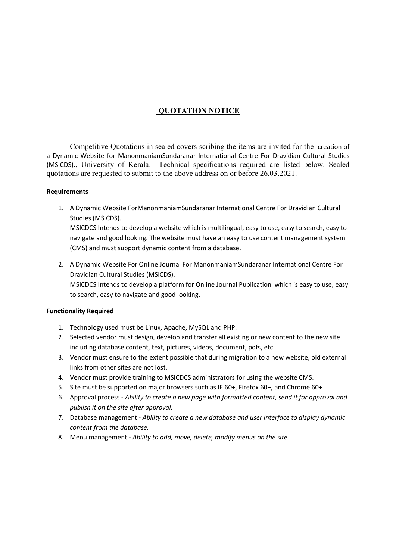## QUOTATION NOTICE

 Competitive Quotations in sealed covers scribing the items are invited for the creation of a Dynamic Website for ManonmaniamSundaranar International Centre For Dravidian Cultural Studies (MSICDS)., University of Kerala. Technical specifications required are listed below. Sealed quotations are requested to submit to the above address on or before 26.03.2021.

## Requirements

- 1. A Dynamic Website ForManonmaniamSundaranar International Centre For Dravidian Cultural Studies (MSICDS). MSICDCS Intends to develop a website which is multilingual, easy to use, easy to search, easy to navigate and good looking. The website must have an easy to use content management system (CMS) and must support dynamic content from a database.
- 2. A Dynamic Website For Online Journal For ManonmaniamSundaranar International Centre For Dravidian Cultural Studies (MSICDS). MSICDCS Intends to develop a platform for Online Journal Publication which is easy to use, easy to search, easy to navigate and good looking.

## Functionality Required

- 1. Technology used must be Linux, Apache, MySQL and PHP.
- 2. Selected vendor must design, develop and transfer all existing or new content to the new site including database content, text, pictures, videos, document, pdfs, etc.
- 3. Vendor must ensure to the extent possible that during migration to a new website, old external links from other sites are not lost.
- 4. Vendor must provide training to MSICDCS administrators for using the website CMS.
- 5. Site must be supported on major browsers such as IE 60+, Firefox 60+, and Chrome 60+
- 6. Approval process Ability to create a new page with formatted content, send it for approval and publish it on the site after approval.
- 7. Database management Ability to create a new database and user interface to display dynamic content from the database.
- 8. Menu management Ability to add, move, delete, modify menus on the site.